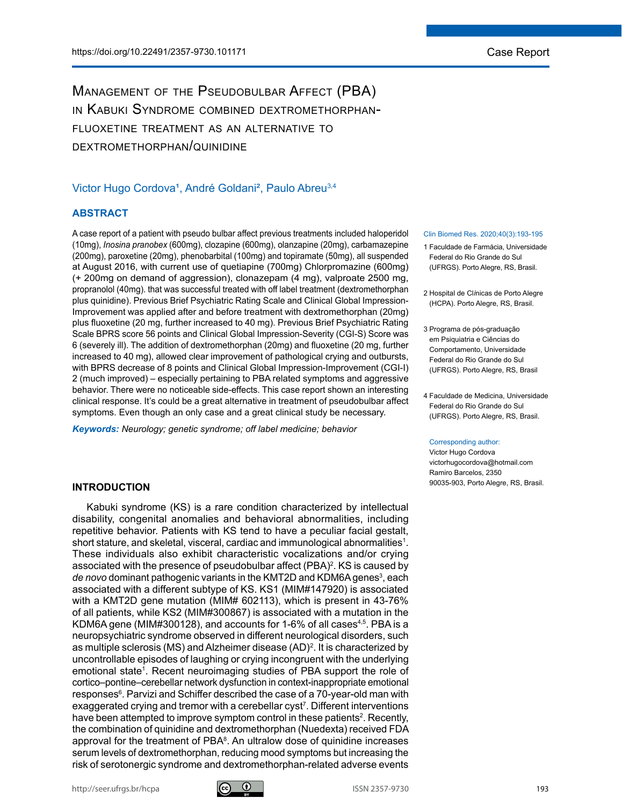# Management of the Pseudobulbar Affect (PBA) in Kabuki Syndrome combined dextromethorphanfluoxetine treatment as an alternative to dextromethorphan/quinidine

## Victor Hugo Cordova<sup>1</sup>, André Goldani<sup>2</sup>, Paulo Abreu<sup>3,4</sup>

## **ABSTRACT**

A case report of a patient with pseudo bulbar affect previous treatments included haloperidol (10mg), *Inosina pranobex* (600mg), clozapine (600mg), olanzapine (20mg), carbamazepine (200mg), paroxetine (20mg), phenobarbital (100mg) and topiramate (50mg), all suspended at August 2016, with current use of quetiapine (700mg) Chlorpromazine (600mg) (+ 200mg on demand of aggression), clonazepam (4 mg), valproate 2500 mg, propranolol (40mg). that was successful treated with off label treatment (dextromethorphan plus quinidine). Previous Brief Psychiatric Rating Scale and Clinical Global Impression-Improvement was applied after and before treatment with dextromethorphan (20mg) plus fluoxetine (20 mg, further increased to 40 mg). Previous Brief Psychiatric Rating Scale BPRS score 56 points and Clinical Global Impression-Severity (CGI-S) Score was 6 (severely ill). The addition of dextromethorphan (20mg) and fluoxetine (20 mg, further increased to 40 mg), allowed clear improvement of pathological crying and outbursts, with BPRS decrease of 8 points and Clinical Global Impression-Improvement (CGI-I) 2 (much improved) – especially pertaining to PBA related symptoms and aggressive behavior. There were no noticeable side-effects. This case report shown an interesting clinical response. It's could be a great alternative in treatment of pseudobulbar affect symptoms. Even though an only case and a great clinical study be necessary.

*Keywords: Neurology; genetic syndrome; off label medicine; behavior*

## **INTRODUCTION**

Kabuki syndrome (KS) is a rare condition characterized by intellectual disability, congenital anomalies and behavioral abnormalities, including repetitive behavior. Patients with KS tend to have a peculiar facial gestalt, short stature, and skeletal, visceral, cardiac and immunological abnormalities<sup>1</sup>. These individuals also exhibit characteristic vocalizations and/or crying associated with the presence of pseudobulbar affect (PBA)<sup>2</sup>. KS is caused by de novo dominant pathogenic variants in the KMT2D and KDM6A genes<sup>3</sup>, each associated with a different subtype of KS. KS1 (MIM#147920) is associated with a KMT2D gene mutation (MIM# 602113), which is present in 43-76% of all patients, while KS2 (MIM#300867) is associated with a mutation in the KDM6A gene (MIM#300128), and accounts for 1-6% of all cases<sup>4,5</sup>. PBA is a neuropsychiatric syndrome observed in different neurological disorders, such as multiple sclerosis (MS) and Alzheimer disease (AD)2 . It is characterized by uncontrollable episodes of laughing or crying incongruent with the underlying emotional state<sup>1</sup>. Recent neuroimaging studies of PBA support the role of cortico–pontine–cerebellar network dysfunction in context-inappropriate emotional responses<sup>6</sup>. Parvizi and Schiffer described the case of a 70-year-old man with exaggerated crying and tremor with a cerebellar cyst<sup>7</sup>. Different interventions have been attempted to improve symptom control in these patients<sup>2</sup>. Recently, the combination of quinidine and dextromethorphan (Nuedexta) received FDA approval for the treatment of  $PBA<sup>8</sup>$ . An ultralow dose of quinidine increases serum levels of dextromethorphan, reducing mood symptoms but increasing the risk of serotonergic syndrome and dextromethorphan-related adverse events

### Clin Biomed Res. 2020;40(3):193-195

- 1 Faculdade de Farmácia, Universidade Federal do Rio Grande do Sul (UFRGS). Porto Alegre, RS, Brasil.
- 2 Hospital de Cl*í*nicas de Porto Alegre (HCPA). Porto Alegre, RS, Brasil.
- 3 Programa de pós-graduação em Psiquiatria e Ciências do Comportamento, Universidade Federal do Rio Grande do Sul (UFRGS). Porto Alegre, RS, Brasil
- 4 Faculdade de Medicina, Universidade Federal do Rio Grande do Sul (UFRGS). Porto Alegre, RS, Brasil.

#### Corresponding author:

Victor Hugo Cordova victorhugocordova@hotmail.com Ramiro Barcelos, 2350 90035-903, Porto Alegre, RS, Brasil.

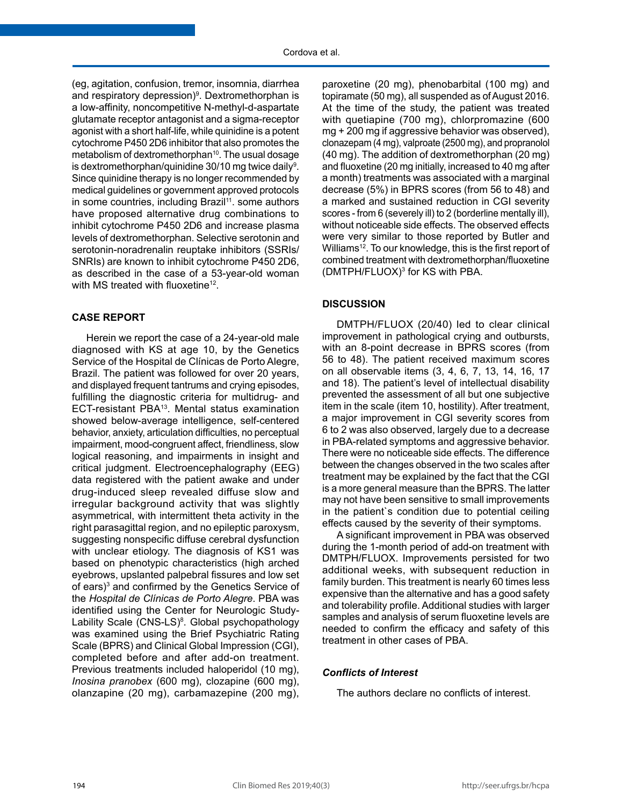(eg, agitation, confusion, tremor, insomnia, diarrhea and respiratory depression)<sup>9</sup>. Dextromethorphan is a low-affinity, noncompetitive N-methyl-d-aspartate glutamate receptor antagonist and a sigma-receptor agonist with a short half-life, while quinidine is a potent cytochrome P450 2D6 inhibitor that also promotes the metabolism of dextromethorphan<sup>10</sup>. The usual dosage is dextromethorphan/quinidine 30/10 mg twice daily<sup>9</sup>. Since quinidine therapy is no longer recommended by medical guidelines or government approved protocols in some countries, including Brazil<sup>11</sup>, some authors have proposed alternative drug combinations to inhibit cytochrome P450 2D6 and increase plasma levels of dextromethorphan. Selective serotonin and serotonin-noradrenalin reuptake inhibitors (SSRIs/ SNRIs) are known to inhibit cytochrome P450 2D6, as described in the case of a 53-year-old woman with MS treated with fluoxetine<sup>12</sup>.

## **CASE REPORT**

Herein we report the case of a 24-year-old male diagnosed with KS at age 10, by the Genetics Service of the Hospital de Clínicas de Porto Alegre, Brazil. The patient was followed for over 20 years, and displayed frequent tantrums and crying episodes, fulfilling the diagnostic criteria for multidrug- and ECT-resistant PBA13. Mental status examination showed below-average intelligence, self-centered behavior, anxiety, articulation difficulties, no perceptual impairment, mood-congruent affect, friendliness, slow logical reasoning, and impairments in insight and critical judgment. Electroencephalography (EEG) data registered with the patient awake and under drug-induced sleep revealed diffuse slow and irregular background activity that was slightly asymmetrical, with intermittent theta activity in the right parasagittal region, and no epileptic paroxysm, suggesting nonspecific diffuse cerebral dysfunction with unclear etiology. The diagnosis of KS1 was based on phenotypic characteristics (high arched eyebrows, upslanted palpebral fissures and low set of ears)<sup>3</sup> and confirmed by the Genetics Service of the *Hospital de Clínicas de Porto Alegre*. PBA was identified using the Center for Neurologic Study-Lability Scale (CNS-LS)<sup>8</sup>. Global psychopathology was examined using the Brief Psychiatric Rating Scale (BPRS) and Clinical Global Impression (CGI), completed before and after add-on treatment. Previous treatments included haloperidol (10 mg), *Inosina pranobex* (600 mg), clozapine (600 mg), olanzapine (20 mg), carbamazepine (200 mg),

paroxetine (20 mg), phenobarbital (100 mg) and topiramate (50 mg), all suspended as of August 2016. At the time of the study, the patient was treated with quetiapine (700 mg), chlorpromazine (600 mg + 200 mg if aggressive behavior was observed), clonazepam (4 mg), valproate (2500 mg), and propranolol (40 mg). The addition of dextromethorphan (20 mg) and fluoxetine (20 mg initially, increased to 40 mg after a month) treatments was associated with a marginal decrease (5%) in BPRS scores (from 56 to 48) and a marked and sustained reduction in CGI severity scores - from 6 (severely ill) to 2 (borderline mentally ill), without noticeable side effects. The observed effects were very similar to those reported by Butler and Williams<sup>12</sup>. To our knowledge, this is the first report of combined treatment with dextromethorphan/fluoxetine  $(DMTPH/FLUOX)<sup>3</sup>$  for KS with PBA.

## **DISCUSSION**

DMTPH/FLUOX (20/40) led to clear clinical improvement in pathological crying and outbursts, with an 8-point decrease in BPRS scores (from 56 to 48). The patient received maximum scores on all observable items (3, 4, 6, 7, 13, 14, 16, 17 and 18). The patient's level of intellectual disability prevented the assessment of all but one subjective item in the scale (item 10, hostility). After treatment, a major improvement in CGI severity scores from 6 to 2 was also observed, largely due to a decrease in PBA-related symptoms and aggressive behavior. There were no noticeable side effects. The difference between the changes observed in the two scales after treatment may be explained by the fact that the CGI is a more general measure than the BPRS. The latter may not have been sensitive to small improvements in the patient`s condition due to potential ceiling effects caused by the severity of their symptoms.

A significant improvement in PBA was observed during the 1-month period of add-on treatment with DMTPH/FLUOX. Improvements persisted for two additional weeks, with subsequent reduction in family burden. This treatment is nearly 60 times less expensive than the alternative and has a good safety and tolerability profile. Additional studies with larger samples and analysis of serum fluoxetine levels are needed to confirm the efficacy and safety of this treatment in other cases of PBA.

### *Conflicts of Interest*

The authors declare no conflicts of interest.